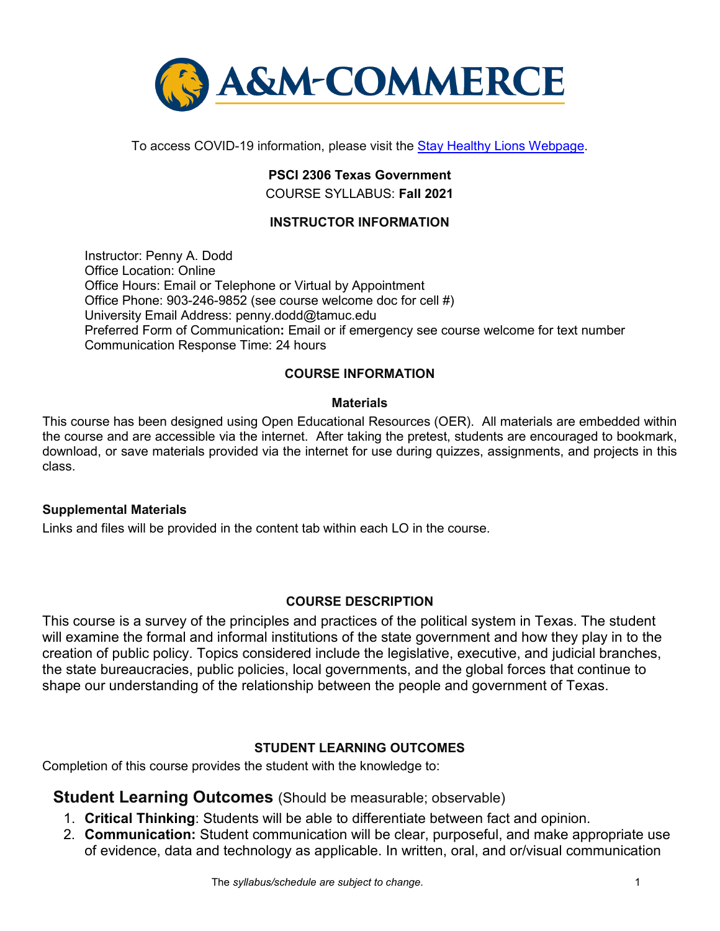

To access COVID-19 information, please visit the [Stay Healthy Lions Webpage.](https://new.tamuc.edu/coronavirus/)

## **PSCI 2306 Texas Government** COURSE SYLLABUS: **Fall 2021**

# **INSTRUCTOR INFORMATION**

Instructor: Penny A. Dodd Office Location: Online Office Hours: Email or Telephone or Virtual by Appointment Office Phone: 903-246-9852 (see course welcome doc for cell #) University Email Address: penny.dodd@tamuc.edu Preferred Form of Communication**:** Email or if emergency see course welcome for text number Communication Response Time: 24 hours

## **COURSE INFORMATION**

## **Materials**

This course has been designed using Open Educational Resources (OER). All materials are embedded within the course and are accessible via the internet. After taking the pretest, students are encouraged to bookmark, download, or save materials provided via the internet for use during quizzes, assignments, and projects in this class.

## **Supplemental Materials**

Links and files will be provided in the content tab within each LO in the course.

## **[COURSE DESCRIPTION](http://catalog.tamuc.edu/undergrad/colleges-and-departments/college-of-innovation-design/baas-organizational-leadership/?_ga=2.81546143.928332977.1616426723-584154711.1595512675)**

This course is a survey of the principles and practices of the political system in Texas. The student will examine the formal and informal institutions of the state government and how they play in to the creation of public policy. Topics considered include the legislative, executive, and judicial branches, the state bureaucracies, public policies, local governments, and the global forces that continue to shape our understanding of the relationship between the people and government of Texas.

## **STUDENT LEARNING OUTCOMES**

Completion of this course provides the student with the knowledge to:

**Student Learning Outcomes** (Should be measurable; observable)

- 1. **Critical Thinking**: Students will be able to differentiate between fact and opinion.
- 2. **Communication:** Student communication will be clear, purposeful, and make appropriate use of evidence, data and technology as applicable. In written, oral, and or/visual communication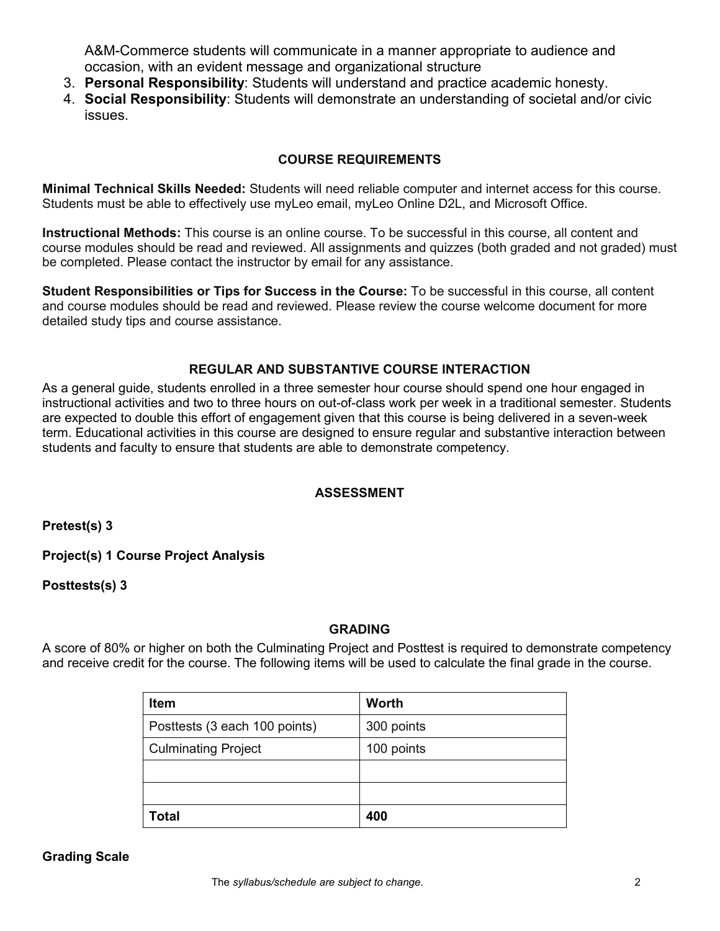A&M-Commerce students will communicate in a manner appropriate to audience and occasion, with an evident message and organizational structure

- 3. **Personal Responsibility**: Students will understand and practice academic honesty.
- 4. **Social Responsibility**: Students will demonstrate an understanding of societal and/or civic issues.

# **COURSE REQUIREMENTS**

**Minimal Technical Skills Needed:** Students will need reliable computer and internet access for this course. Students must be able to effectively use myLeo email, myLeo Online D2L, and Microsoft Office.

**Instructional Methods:** This course is an online course. To be successful in this course, all content and course modules should be read and reviewed. All assignments and quizzes (both graded and not graded) must be completed. Please contact the instructor by email for any assistance.

**Student Responsibilities or Tips for Success in the Course:** To be successful in this course, all content and course modules should be read and reviewed. Please review the course welcome document for more detailed study tips and course assistance.

## **REGULAR AND SUBSTANTIVE COURSE INTERACTION**

As a general guide, students enrolled in a three semester hour course should spend one hour engaged in instructional activities and two to three hours on out-of-class work per week in a traditional semester. Students are expected to double this effort of engagement given that this course is being delivered in a seven-week term. Educational activities in this course are designed to ensure regular and substantive interaction between students and faculty to ensure that students are able to demonstrate competency.

## **ASSESSMENT**

**Pretest(s) 3**

**Project(s) 1 Course Project Analysis**

**Posttests(s) 3** 

## **GRADING**

A score of 80% or higher on both the Culminating Project and Posttest is required to demonstrate competency and receive credit for the course. The following items will be used to calculate the final grade in the course.

| <b>Item</b>                   | <b>Worth</b> |
|-------------------------------|--------------|
| Posttests (3 each 100 points) | 300 points   |
| <b>Culminating Project</b>    | 100 points   |
|                               |              |
|                               |              |
| <b>Total</b>                  | 400          |

## **Grading Scale**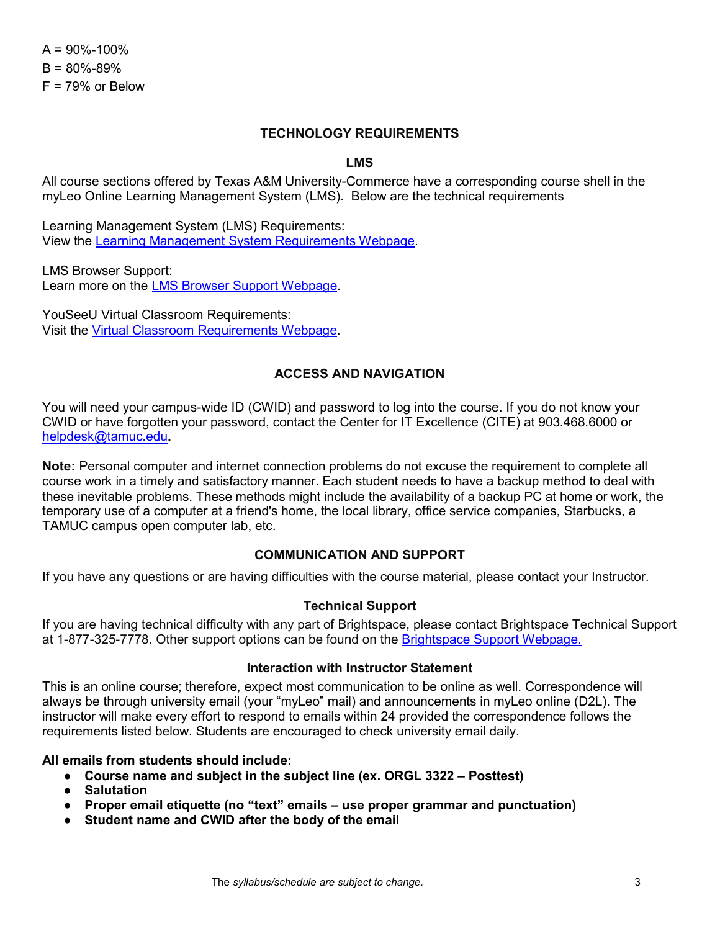$A = 90\% - 100\%$  $B = 80% - 89%$  $F = 79%$  or Below

#### **TECHNOLOGY REQUIREMENTS**

#### **LMS**

All course sections offered by Texas A&M University-Commerce have a corresponding course shell in the myLeo Online Learning Management System (LMS). Below are the technical requirements

Learning Management System (LMS) Requirements: View the [Learning Management System Requirements Webpage.](https://community.brightspace.com/s/article/Brightspace-Platform-Requirements)

LMS Browser Support: Learn more on the [LMS Browser Support Webpage.](https://documentation.brightspace.com/EN/brightspace/requirements/all/browser_support.htm)

YouSeeU Virtual Classroom Requirements: Visit the [Virtual Classroom Requirements Webpage.](https://support.youseeu.com/hc/en-us/articles/115007031107-Basic-System-Requirements)

### **ACCESS AND NAVIGATION**

You will need your campus-wide ID (CWID) and password to log into the course. If you do not know your CWID or have forgotten your password, contact the Center for IT Excellence (CITE) at 903.468.6000 or [helpdesk@tamuc.edu](mailto:helpdesk@tamuc.edu)**.**

**Note:** Personal computer and internet connection problems do not excuse the requirement to complete all course work in a timely and satisfactory manner. Each student needs to have a backup method to deal with these inevitable problems. These methods might include the availability of a backup PC at home or work, the temporary use of a computer at a friend's home, the local library, office service companies, Starbucks, a TAMUC campus open computer lab, etc.

#### **COMMUNICATION AND SUPPORT**

If you have any questions or are having difficulties with the course material, please contact your Instructor.

#### **Technical Support**

If you are having technical difficulty with any part of Brightspace, please contact Brightspace Technical Support at 1-877-325-7778. Other support options can be found on the [Brightspace Support Webpage.](https://community.brightspace.com/support/s/contactsupport)

#### **Interaction with Instructor Statement**

This is an online course; therefore, expect most communication to be online as well. Correspondence will always be through university email (your "myLeo" mail) and announcements in myLeo online (D2L). The instructor will make every effort to respond to emails within 24 provided the correspondence follows the requirements listed below. Students are encouraged to check university email daily.

#### **All emails from students should include:**

- **Course name and subject in the subject line (ex. ORGL 3322 – Posttest)**
- **Salutation**
- **Proper email etiquette (no "text" emails – use proper grammar and punctuation)**
- **Student name and CWID after the body of the email**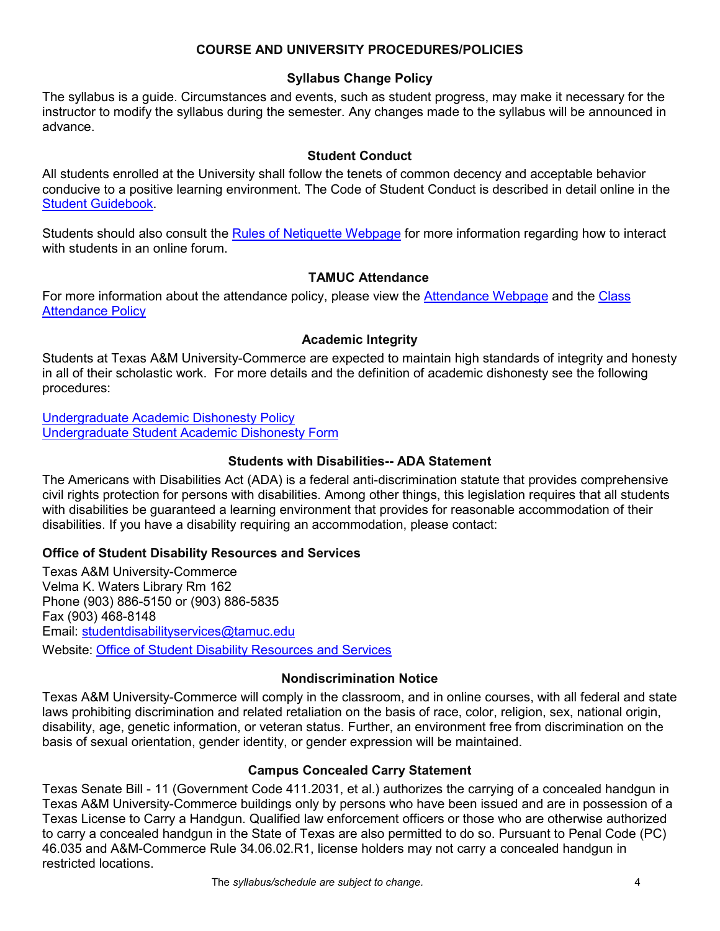## **COURSE AND UNIVERSITY PROCEDURES/POLICIES**

## **Syllabus Change Policy**

The syllabus is a guide. Circumstances and events, such as student progress, may make it necessary for the instructor to modify the syllabus during the semester. Any changes made to the syllabus will be announced in advance.

### **Student Conduct**

All students enrolled at the University shall follow the tenets of common decency and acceptable behavior conducive to a positive learning environment. The Code of Student Conduct is described in detail online in the [Student Guidebook.](http://www.tamuc.edu/Admissions/oneStopShop/undergraduateAdmissions/studentGuidebook.aspx)

Students should also consult the [Rules of Netiquette Webpage](https://www.britannica.com/topic/netiquette) for more information regarding how to interact with students in an online forum.

## **TAMUC Attendance**

For more information about the attendance policy, please view the [Attendance Webpage](http://www.tamuc.edu/admissions/registrar/generalInformation/attendance.aspx) and the [Class](http://www.tamuc.edu/aboutUs/policiesProceduresStandardsStatements/rulesProcedures/13students/academic/13.99.99.R0.01.pdf)  [Attendance Policy](http://www.tamuc.edu/aboutUs/policiesProceduresStandardsStatements/rulesProcedures/13students/academic/13.99.99.R0.01.pdf)

## **Academic Integrity**

Students at Texas A&M University-Commerce are expected to maintain high standards of integrity and honesty in all of their scholastic work. For more details and the definition of academic dishonesty see the following procedures:

[Undergraduate Academic Dishonesty P](http://www.tamuc.edu/aboutUs/policiesProceduresStandardsStatements/rulesProcedures/13students/undergraduates/13.99.99.R0.03UndergraduateAcademicDishonesty.pdf)olicy [Undergraduate Student Academic Dishonesty Form](http://www.tamuc.edu/aboutUs/policiesProceduresStandardsStatements/rulesProcedures/documents/13.99.99.R0.03UndergraduateStudentAcademicDishonestyForm.pdf)

## **Students with Disabilities-- ADA Statement**

The Americans with Disabilities Act (ADA) is a federal anti-discrimination statute that provides comprehensive civil rights protection for persons with disabilities. Among other things, this legislation requires that all students with disabilities be guaranteed a learning environment that provides for reasonable accommodation of their disabilities. If you have a disability requiring an accommodation, please contact:

## **Office of Student Disability Resources and Services**

Texas A&M University-Commerce Velma K. Waters Library Rm 162 Phone (903) 886-5150 or (903) 886-5835 Fax (903) 468-8148 Email: [studentdisabilityservices@tamuc.edu](mailto:studentdisabilityservices@tamuc.edu) Website: [Office of Student Disability Resources and Services](http://www.tamuc.edu/campusLife/campusServices/studentDisabilityResourcesAndServices/)

## **Nondiscrimination Notice**

Texas A&M University-Commerce will comply in the classroom, and in online courses, with all federal and state laws prohibiting discrimination and related retaliation on the basis of race, color, religion, sex, national origin, disability, age, genetic information, or veteran status. Further, an environment free from discrimination on the basis of sexual orientation, gender identity, or gender expression will be maintained.

# **Campus Concealed Carry Statement**

Texas Senate Bill - 11 (Government Code 411.2031, et al.) authorizes the carrying of a concealed handgun in Texas A&M University-Commerce buildings only by persons who have been issued and are in possession of a Texas License to Carry a Handgun. Qualified law enforcement officers or those who are otherwise authorized to carry a concealed handgun in the State of Texas are also permitted to do so. Pursuant to Penal Code (PC) 46.035 and A&M-Commerce Rule 34.06.02.R1, license holders may not carry a concealed handgun in restricted locations.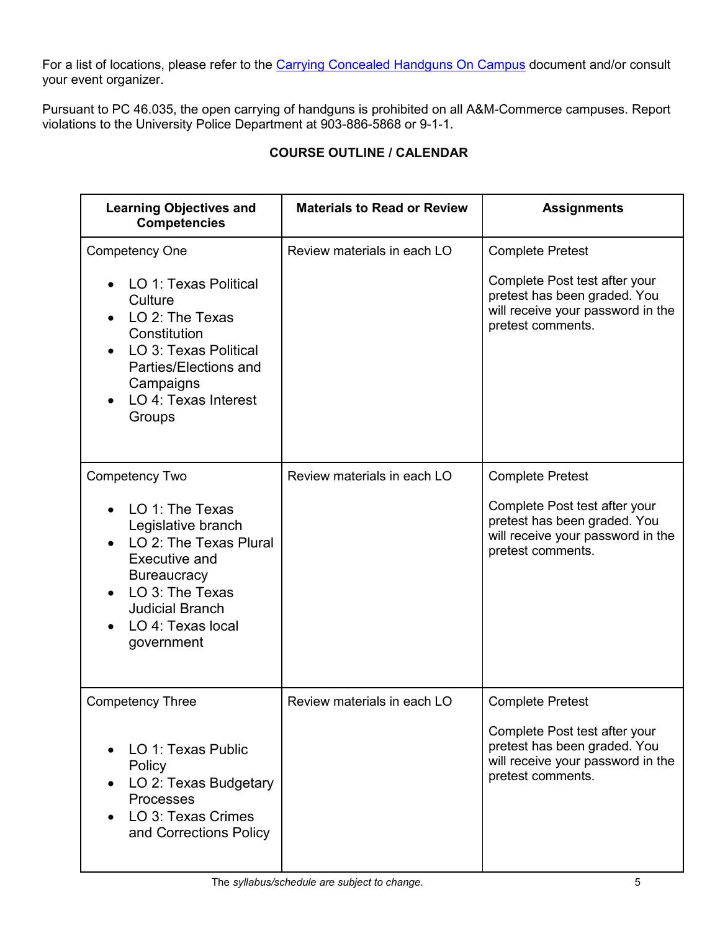For a list of locations, please refer to the [Carrying Concealed Handguns On Campus](http://www.tamuc.edu/aboutUs/policiesProceduresStandardsStatements/rulesProcedures/34SafetyOfEmployeesAndStudents/34.06.02.R1.pdf) document and/or consult your event organizer.

Pursuant to PC 46.035, the open carrying of handguns is prohibited on all A&M-Commerce campuses. Report violations to the University Police Department at 903-886-5868 or 9-1-1.

| <b>COURSE OUTLINE / CALENDAR</b> |  |
|----------------------------------|--|
|----------------------------------|--|

| <b>Learning Objectives and</b><br><b>Competencies</b>                                                                                                                                                           | <b>Materials to Read or Review</b> | <b>Assignments</b>                                                                                                                                 |
|-----------------------------------------------------------------------------------------------------------------------------------------------------------------------------------------------------------------|------------------------------------|----------------------------------------------------------------------------------------------------------------------------------------------------|
| <b>Competency One</b><br>LO 1: Texas Political<br>Culture<br>LO 2: The Texas<br>Constitution<br>LO 3: Texas Political<br>Parties/Elections and<br>Campaigns<br>LO 4: Texas Interest<br>Groups                   | Review materials in each LO        | <b>Complete Pretest</b><br>Complete Post test after your<br>pretest has been graded. You<br>will receive your password in the<br>pretest comments. |
| <b>Competency Two</b><br>LO 1: The Texas<br>Legislative branch<br>LO 2: The Texas Plural<br>Executive and<br><b>Bureaucracy</b><br>LO 3: The Texas<br><b>Judicial Branch</b><br>LO 4: Texas local<br>government | Review materials in each LO        | <b>Complete Pretest</b><br>Complete Post test after your<br>pretest has been graded. You<br>will receive your password in the<br>pretest comments. |
| <b>Competency Three</b><br>LO 1: Texas Public<br>Policy<br>LO 2: Texas Budgetary<br><b>Processes</b><br>LO 3: Texas Crimes<br>and Corrections Policy                                                            | Review materials in each LO        | <b>Complete Pretest</b><br>Complete Post test after your<br>pretest has been graded. You<br>will receive your password in the<br>pretest comments. |